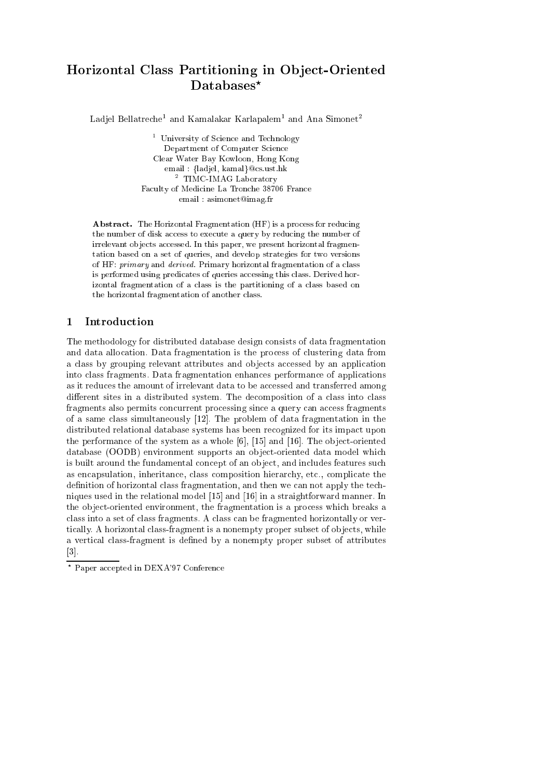# Horizontal Class Partitioning in Ob ject-Oriented Databases<sup>\*</sup>

Ladiel Dellatreche – and Kamalakar Karlapalem – and Ana Simonet –

<sup>1</sup> University of Science and Technology Department of Computer Science Department of Computer Science Clear Water Bay Kowloon, Hong Kong email : {ladjel, kamal}@cs.ust.hk <sup>2</sup> TIMC-IMAG Laboratory Faculty of Medicine La Tronche 38706 France email : asimonet@imag.fr

Abstract. The Horizontal Fragmentation (HF) is a process for reducing the number of disk access to execute a query by reducing the number of irrelevant ob jects accessed. In this paper, we present horizontal fragmentation based on a set of queries, and develop strategies for two versions of HF: primary and derived. Primary horizontal fragmentation of a class is performed using predicates of queries accessing this class. Derived horizontal fragmentation of a class is the partitioning of a class based on the horizontal fragmentation of another class.

## $\mathbf{1}$

The methodology for distributed database design consists of data fragmentation and data allocation. Data fragmentation is the process of clustering data from a class by grouping relevant attributes and ob jects accessed by an application into class fragments. Data fragmentation enhances performance of applications as it reduces the amount of irrelevant data to be accessed and transferred among different sites in a distributed system. The decomposition of a class into class fragments also permits concurrent processing since a query can access fragments of a same class simultaneously [12]. The problem of data fragmentation in the distributed relational database systems has been recognized for its impact upon the performance of the system as a whole  $[6]$ ,  $[15]$  and  $[16]$ . The object-oriented database (OODB) environment supports an ob ject-oriented data model which is built around the fundamental concept of an ob ject, and includes features such as encapsulation, inheritance, class composition hierarchy, etc., complicate the definition of horizontal class fragmentation, and then we can not apply the techniques used in the relational model [15] and [16] in a straightforward manner. In the ob ject-oriented environment, the fragmentation is a process which breaks a class into a set of class fragments. A class can be fragmented horizontally or vertically. A horizontal class-fragment is a nonempty proper subset of objects, while a vertical class-fragment is defined by a nonempty proper subset of attributes [3].

<sup>?</sup> Paper accepted in DEXA'97 Conference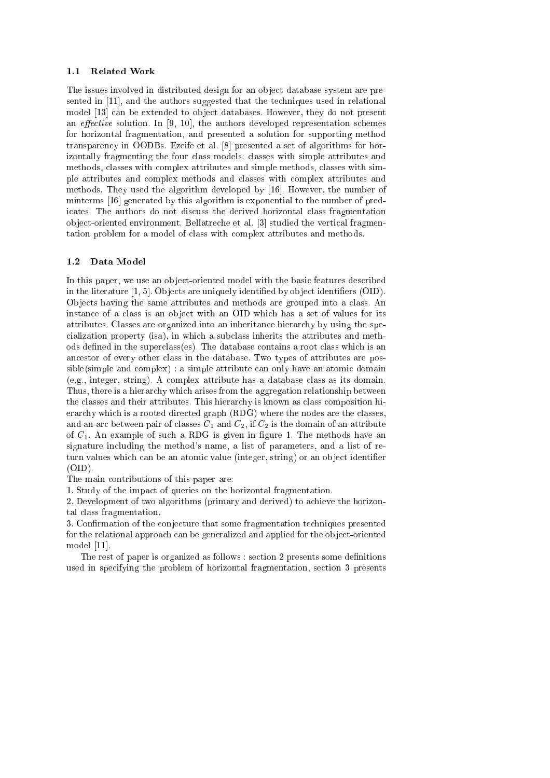#### 1.1 Related Work

The issues involved in distributed design for an object database system are presented in [11], and the authors suggested that the techniques used in relational model [13] can be extended to object databases. However, they do not present an *effective* solution. In [9, 10], the authors developed representation schemes for horizontal fragmentation, and presented a solution for supporting method transparency in OODBs. Ezeife et al. [8] presented a set of algorithms for horizontally fragmenting the four class models: classes with simple attributes and methods, classes with complex attributes and simple methods, classes with simple attributes and complex methods and classes with complex attributes and methods. They used the algorithm developed by [16]. However, the number of minterms [16] generated by this algorithm is exponential to the number of predicates. The authors do not discuss the derived horizontal class fragmentation ob ject-oriented environment. Bellatreche et al. [3] studied the vertical fragmentation problem for a model of class with complex attributes and methods.

#### $1.2$ Data Model

In this paper, we use an ob ject-oriented model with the basic features described in the literature  $[1, 5]$ . Objects are uniquely identified by object identifiers  $(OID)$ . Ob jects having the same attributes and methods are grouped into a class. An instance of a class is an object with an OID which has a set of values for its attributes. Classes are organized into an inheritance hierarchy by using the specialization property (isa), in which a subclass inherits the attributes and methods defined in the superclass(es). The database contains a root class which is an ancestor of every other class in the database. Two types of attributes are possible(simple and complex) : a simple attribute can only have an atomic domain (e.g., integer, string). A complex attribute has a database class as its domain. Thus, there is a hierarchy which arises from the aggregation relationship between the classes and their attributes. This hierarchy is known as class composition hierarchy which is a rooted directed graph (RDG) where the nodes are the classes, and an arc between pair of classes  $C_1$  and  $C_2$ , if  $C_2$  is the domain of an attribute of  $C_1$ . An example of such a RDG is given in figure 1. The methods have an signature including the method's name, a list of parameters, and a list of return values which can be an atomic value (integer, string) or an object identifier (OID).

The main contributions of this paper are:

1. Study of the impact of queries on the horizontal fragmentation.

2. Development of two algorithms (primary and derived) to achieve the horizontal class fragmentation.

3. Confirmation of the conjecture that some fragmentation techniques presented for the relational approach can be generalized and applied for the ob ject-oriented model [11].

The rest of paper is organized as follows : section 2 presents some definitions used in specifying the problem of horizontal fragmentation, section 3 presents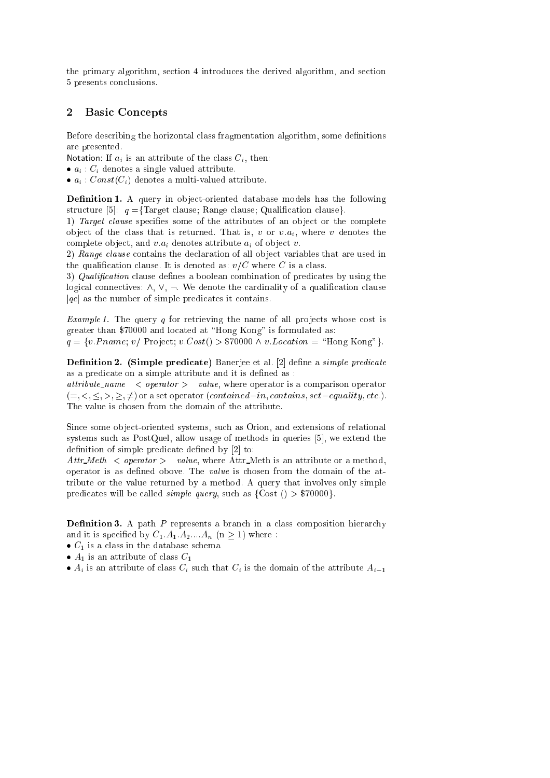the primary algorithm, section 4 introduces the derived algorithm, and section 5 presents conclusions.

## 2 Basic Concepts

Before describing the horizontal class fragmentation algorithm, some definitions are presented.

Notation: If  $a_i$  is an attribute of the class  $C_i$ , then:

ai : Ci denotes <sup>a</sup> single valued attribute.

ai : Constantinopera multi-valued attribute. The multi-valued attribute. The multi-valued attribute. The multi-value of  $\alpha$ 

**Definition 1.** A query in object-oriented database models has the following structure [5]:  $q = \{ \text{Target clause: Range clause: Qualification clause} \}.$ 

1) Target clause specifies some of the attributes of an object or the complete object of the class that is returned. That is, v or  $v.a_i$ , where v denotes the complete object, and  $v.a_i$  denotes attribute  $a_i$  of object v.

2) Range clause contains the declaration of all object variables that are used in the qualification clause. It is denoted as:  $v/C$  where C is a class.

3) *Qualification* clause defines a boolean combination of predicates by using the logical connectives:  $\wedge$ ,  $\vee$ ,  $\neg$ . We denote the cardinality of a qualification clause  $|qc|$  as the number of simple predicates it contains.

*Example 1.* The query q for retrieving the name of all projects whose cost is greater than \$70000 and located at "Hong Kong" is formulated as:

 $q = \{v.Pname; v/Project; v.Cost() > $70000 \land v.Location = "Hong Kong" \}.$ 

Definition 2. (Simple predicate) Banerjee et al. [2] define a *simple predicate* as a predicate on a simple attribute and it is defined as :

 $attribute\_name < operator > value$ , where operator is a comparison operator  $(=, <, \leq, >, \geq, \neq)$  or a set operator (*contained*-in, *contains*, *set*-equality, etc.). The value is chosen from the domain of the attribute.

Since some ob ject-oriented systems, such as Orion, and extensions of relational systems such as PostQuel, allow usage of methods in queries [5], we extend the definition of simple predicate defined by  $[2]$  to:

Attr\_Meth  $\langle$  operator  $\rangle$  value, where Attr\_Meth is an attribute or a method, operator is as defined obove. The *value* is chosen from the domain of the attribute or the value returned by a method. A query that involves only simple predicates will be called *simple query*, such as  $\{Cost() > $70000\}.$ 

**Definition 3.** A path  $P$  represents a branch in a class composition hierarchy and it is specified by  $C_1.A_1.A_2....A_n$  ( $n \ge 1$ ) where :

- c1 is a class in the database schema schema schema
- and is an attribute of class C1 is an attribute  $\mathcal{L}_1$
- Air is an attribute of class  $C_i$  is does that  $C_j$  is the attribute  $A_i$  is the attribute  $A_i$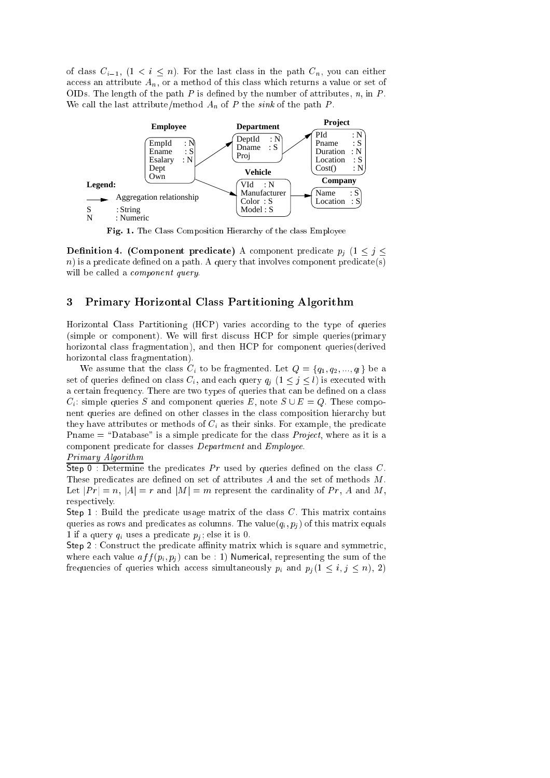of class  $C_{i-1}$ ,  $(1 \leq i \leq n)$ . For the last class in the path  $C_n$ , you can either access an attribute  $A_n$ , or a method of this class which returns a value or set of OIDs. The length of the path  $P$  is defined by the number of attributes,  $n$ , in  $P$ . We call the last attribute/method  $A_n$  of P the sink of the path P.



Fig. 1. The Class Composition Hierarchy of the class Employee

**Definition 4.** (Component predicate) A component predicate  $p_i$  (1 <  $j$  < n) is a predicate defined on a path. A query that involves component predicate(s) will be called a *component query*.

## 3 Primary Horizontal Class Partitioning Algorithm

Horizontal Class Partitioning (HCP) varies according to the type of queries (simple or component). We will first discuss HCP for simple queries(primary horizontal class fragmentation), and then HCP for component queries(derived horizontal class fragmentation).

We assume that the class  $C_i$  to be fragmented. Let  $Q = \{q_1, q_2, ..., q_l\}$  be a set of queries defined on class  $C_i$ , and each query  $q_j$   $(1 \leq j \leq l)$  is executed with a certain frequency. There are two types of queries that can be defined on a class  $C_i$  simple queries S and component queries E, note  $S \cup E = Q$ . These component queries are defined on other classes in the class composition hierarchy but they have attributes or methods of  $C_i$  as their sinks. For example, the predicate Pname  $=$  "Database" is a simple predicate for the class *Project*, where as it is a component predicate for classes Department and Employee.

#### Primary Algorithm

Step  $0$  : Determine the predicates Pr used by queries defined on the class C. These predicates are defined on set of attributes  $A$  and the set of methods  $M$ . Let  $|Pr| = n$ ,  $|A| = r$  and  $|M| = m$  represent the cardinality of Pr, A and M, respectively.

Step 1 : Build the predicate usage matrix of the class  $C$ . This matrix contains queries as rows and predicates as columns. The value $(q_i, p_j)$  of this matrix equals 1 if a query  $q_i$  uses a predicate  $p_i$ ; else it is 0.

Step 2 : Construct the predicate affinity matrix which is square and symmetric, where each value  $aff(p_i, p_j)$  can be : 1) Numerical, representing the sum of the frequencies of queries which access simultaneously  $p_i$  and  $p_i (1 \leq i, j \leq n)$ , 2)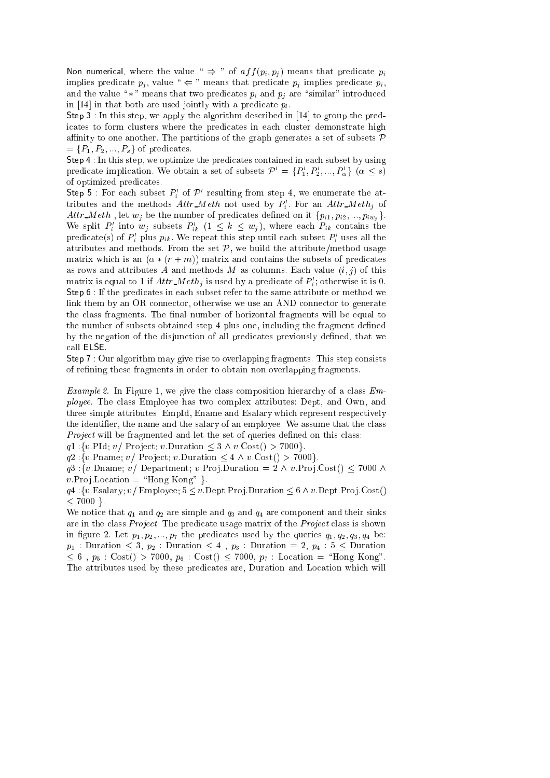Non numerical, where the value "  $\Rightarrow$  " of  $aff (p_i, p_j )$  means that predicate  $p_i$ implies predicate  $p_j$ , value "  $\Leftarrow$  " means that predicate  $p_j$  implies predicate  $p_i$ , and the value " $\ast$ " means that two predicates  $p_i$  and  $p_j$  are "similar" introduced in [14] in that both are used jointly with a predicate  $p_l$ .

Step <sup>3</sup> : In this step, we apply the algorithm described in [14] to group the predicates to form clusters where the predicates in each cluster demonstrate high affinity to one another. The partitions of the graph generates a set of subsets  $\mathcal P$  $=\{P_1, P_2, ..., P_s\}$  of predicates.

Step <sup>4</sup> : In this step, we optimize the predicates contained in each subset by using predicate implication. We obtain a set of subsets  $P^- = \{P_1, P_2, ..., P_{\alpha}\}\;(\alpha\leq s)$ of optimized predicates.

Step 5 : For each subset  $F_i$  of P resulting from step 4, we enumerate the attributes and the methods  $Aut\Gamma \_M$  eth not used by  $P_i$ . For an  $Aut\Gamma\_M$  eth<sub>j</sub> of Attribute the set  $\mathcal{A}$  , and the number of the predication defined on it fpix;  $\mathcal{I}^{p}$  is  $\mathcal{I}^{p}$  is  $\mathcal{I}^{p}$  is an in We spin  $F_i$  into  $w_j$  subsets  $F_{ik}$  (1  $\leq$  K  $\leq$   $w_j$ ), where each  $F_{ik}$  contains the predicate(s) of  $P'_i$  plus  $p_{ik}$ . We repeat this step until each subset  $P'_i$  uses all the attributes and methods. From the set  $P$ , we build the attribute/method usage matrix which is an  $(\alpha * (r + m))$  matrix and contains the subsets of predicates as rows and attributes A and methods M as columns. Each value  $(i, j)$  of this matrix is equal to 1 if  $Autr\_M$  eth<sub>i</sub> is used by a predicate of  $P_i$  ; otherwise it is 0. Step <sup>6</sup> : If the predicates in each subset refer to the same attribute or method we link them by an OR connector, otherwise we use an AND connector to generate the class fragments. The final number of horizontal fragments will be equal to the number of subsets obtained step 4 plus one, including the fragment defined by the negation of the disjunction of all predicates previously dened, that we call ELSE.

Step <sup>7</sup> : Our algorithm may give rise to overlapping fragments. This step consists of refining these fragments in order to obtain non overlapping fragments.

*Example 2.* In Figure 1, we give the class composition hierarchy of a class  $Em$ ployee. The class Employee has two complex attributes: Dept, and Own, and three simple attributes: EmpId, Ename and Esalary which represent respectively the identifier, the name and the salary of an employee. We assume that the class *Project* will be fragmented and let the set of queries defined on this class:

q1 : $\{v.\text{PId}; v\}/\text{Project}; v.\text{Duration} \leq 3 \land v.\text{Cost}() > 7000\}.$ 

 $q2$ :{v.Pname; v/ Project; v.Duration  $\leq 4 \wedge v$ .Cost() > 7000}.

 $q3$ : {v.Dname; v/ Department; v.Proj.Duration = 2  $\land$  v.Proj.Cost() < 7000  $\land$  $v.\text{Proj.Location} = \text{``Hong Kong'' }$ .

 $q4$ : {v. Esalary; v/ Employee;  $5 < v$ . Dept. Proj. Duration  $< 6 \wedge v$ . Dept. Proj. Cost() 7000 g.

We notice that  $q_1$  and  $q_2$  are simple and  $q_3$  and  $q_4$  are component and their sinks are in the class Project. The predicate usage matrix of the Project class is shown in figure 2. Let  $p_1, p_2, ..., p_7$  the predicates used by the queries  $q_1, q_2, q_3, q_4$  be:  $p_1$ : Duration  $\leq 3$ ,  $p_2$ : Duration  $\leq 4$ ,  $p_3$ : Duration = 2,  $p_4$ :  $5 \leq$  Duration <sup>6</sup> , p5 : Cost() <sup>&</sup>gt; 7000, p6 : Cost() 7000, p7 : Location <sup>=</sup> \Hong Kong". The attributes used by these predicates are, Duration and Location which will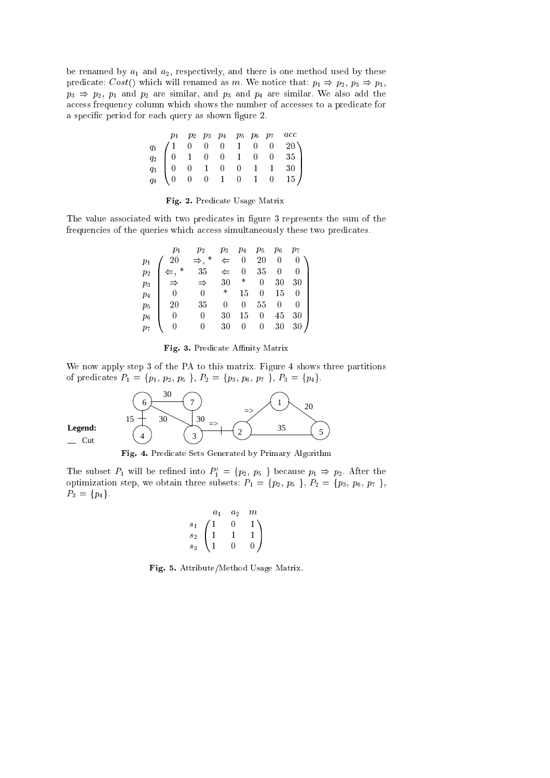be renamed by  $a_1$  and  $a_2$ , respectively, and there is one method used by these predicate:  $Cost()$  which will renamed as m. We notice that:  $p_1 \Rightarrow p_2, p_3 \Rightarrow p_1$ ,  $p_3 \Rightarrow p_2, p_1$  and  $p_2$  are similar, and  $p_3$  and  $p_4$  are similar. We also add the access frequency column which shows the number of accesses to a predicate for a specific period for each query as shown figure 2.

|  |  |  |  | $p_1$ $p_2$ $p_3$ $p_4$ $p_5$ $p_6$ $p_7$ acc                                                                                                                                                                                                   |
|--|--|--|--|-------------------------------------------------------------------------------------------------------------------------------------------------------------------------------------------------------------------------------------------------|
|  |  |  |  |                                                                                                                                                                                                                                                 |
|  |  |  |  |                                                                                                                                                                                                                                                 |
|  |  |  |  |                                                                                                                                                                                                                                                 |
|  |  |  |  | $\begin{array}{c} q_1 \\ q_2 \\ q_3 \\ q_4 \end{array} \left( \begin{array}{cccccccc} 1 & 0 & 0 & 0 & 1 & 0 & 0 & 20 \\ 0 & 1 & 0 & 0 & 1 & 0 & 0 & 35 \\ 0 & 0 & 1 & 0 & 0 & 1 & 1 & 30 \\ 0 & 0 & 0 & 1 & 0 & 1 & 0 & 15 \end{array} \right)$ |

#### Fig. 2. Predicate Usage Matrix

The value associated with two predicates in figure 3 represents the sum of the frequencies of the queries which access simultaneously these two predicates.

|          | $\,p_1$       | $p_{2}$                   | $p_3$        | $\, p_{4} \,$ | $p_{5}$ | $\, p_6$ | $p_{7}$ |
|----------|---------------|---------------------------|--------------|---------------|---------|----------|---------|
|          | 20            | $\ast$<br>$\Rightarrow$ , | $\Leftarrow$ | 0             | 20      | 0        |         |
| $p_2$    |               | 35                        | $\Leftarrow$ | 0             | 35      |          |         |
| $p_3$    | $\Rightarrow$ | $\Rightarrow$             | 30           | $\ast$        | 0       | 30       | 30      |
| $p_4$    | $\theta$      | 0                         | $\ast$       | 15            | 0       | 15       | O       |
| $p_5$    | 20            | 35                        | 0            | 0             | 55      | 0        |         |
| $\, p_6$ | 0             | Ω                         | 30           | 15            | 0       | 45       | 30      |
| $p_{7}$  |               |                           | 30           | 0             |         | 30       | 30      |

Fig. 3. Predicate Affinity Matrix

We now apply step 3 of the PA to this matrix. Figure 4 shows three partitions of predicates  $P_1 = \{p_1, p_2, p_5\}, P_2 = \{p_3, p_6, p_7\}, P_3 = \{p_4\}.$ 



Fig. 4. Predicate Sets Generated by Primary Algorithm

The subset  $P_1$  will be refined into  $P_1 = \{p_2, p_5\}$  because  $p_1 \Rightarrow p_2$ . After the optimization step, we obtain three subsets:  $P_1 = \{p_2, p_5\}, P_2 = \{p_3, p_6, p_7\},$  $P_3 = \{p_4\}.$ 

$$
\begin{array}{ccc}\n a_1 & a_2 & m \\
s_1 & 1 & 0 & 1 \\
s_2 & 1 & 1 & 1 \\
s_3 & 1 & 0 & 0\n\end{array}
$$

Fig. 5. Attribute/Method Usage Matrix.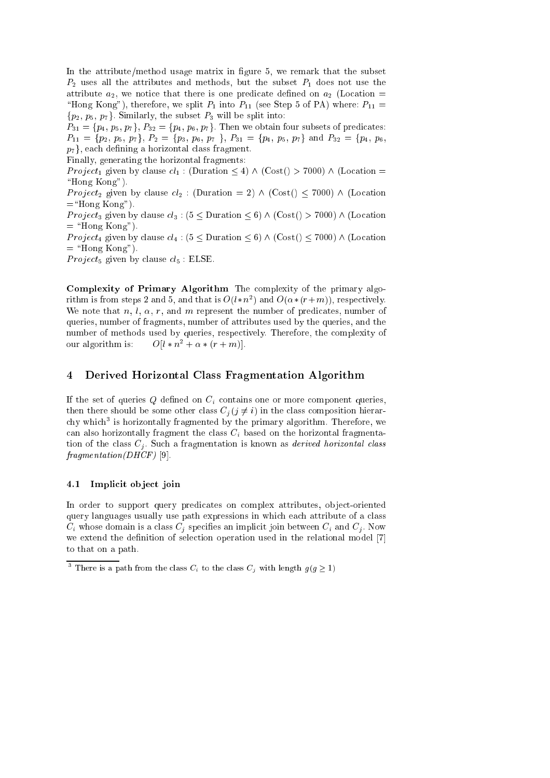In the attribute/method usage matrix in figure 5, we remark that the subset  $P_2$  uses all the attributes and methods, but the subset  $P_1$  does not use the attribute  $a_2$ , we notice that there is one predicate defined on  $a_2$  (Location = "Hong Kong"), therefore, we split  $P_1$  into  $P_{11}$  (see Step 5 of PA) where:  $P_{11}$  =  ${p_2, p_5, p_7}$ . Similarly, the subset  $P_3$  will be split into:  $P_{31} = \{p_4, p_5, p_7\}, P_{32} = \{p_4, p_6, p_7\}.$  Then we obtain four subsets of predicates:  $P_{11} = \{p_2, p_5, p_7\}, P_2 = \{p_3, p_6, p_7\}, P_{31} = \{p_4, p_5, p_7\}$  and  $P_{32} = \{p_4, p_6, p_8\}$  $p_7$ , each defining a horizontal class fragment. Finally, generating the horizontal fragments: *Project*<sub>1</sub> given by clause  $cl_1$ : (Duration  $\lt 4$ )  $\land$  (Cost()  $> 7000$ )  $\land$  (Location = "Hong Kong"). *Project*<sub>2</sub> given by clause  $cl_2$ : (Duration = 2)  $\land$  (Cost()  $\leq$  7000)  $\land$  (Location  $=$  "Hong Kong"). *Project*<sub>3</sub> given by clause  $cl_3$ : ( $5 <$  Duration  $<$  6)  $\wedge$  (Cost()  $>$  7000)  $\wedge$  (Location  $=$  "Hong Kong").

*Project*<sub>4</sub> given by clause  $cl_4$ : ( $5 \leq$  Duration  $\leq$  6)  $\wedge$  (Cost()  $\leq$  7000)  $\wedge$  (Location  $=$  "Hong Kong").

*Project*<sub>5</sub> given by clause  $cl_5$ : ELSE.

Complexity of Primary Algorithm The complexity of the primary algorithm is from steps 2 and 5, and that is  $O(\ell * n^2)$  and  $O(\alpha * (r+n))$ , respectively. We note that n, l,  $\alpha$ , r, and m represent the number of predicates, number of queries, number of fragments, number of attributes used by the queries, and the number of methods used by queries, respectively. Therefore, the complexity of our algorithm is:  $O[l * n^2 + \alpha * (r + m)].$ 

## 4 Derived Horizontal Class Fragmentation Algorithm

If the set of queries  $Q$  defined on  $C_i$  contains one or more component queries, then there should be some other class  $C_i (j \neq i)$  in the class composition hierarchy which is horizontally fragmented by the primary algorithm. Therefore, we can also horizontally fragment the class  $C_i$  based on the horizontal fragmentation of the class  $C_i$ . Such a fragmentation is known as *derived horizontal class* fragmentation(DHCF) [9].

## 4.1 Implicit object join

In order to support query predicates on complex attributes, ob ject-oriented query languages usually use path expressions in which each attribute of a class  $C_i$  whose domain is a class  $C_j$  specifies an implicit join between  $C_i$  and  $C_j$ . Now we extend the definition of selection operation used in the relational model [7] to that on a path.

<sup>&</sup>lt;sup>3</sup> There is a path from the class  $C_i$  to the class  $C_j$  with length  $q(q \geq 1)$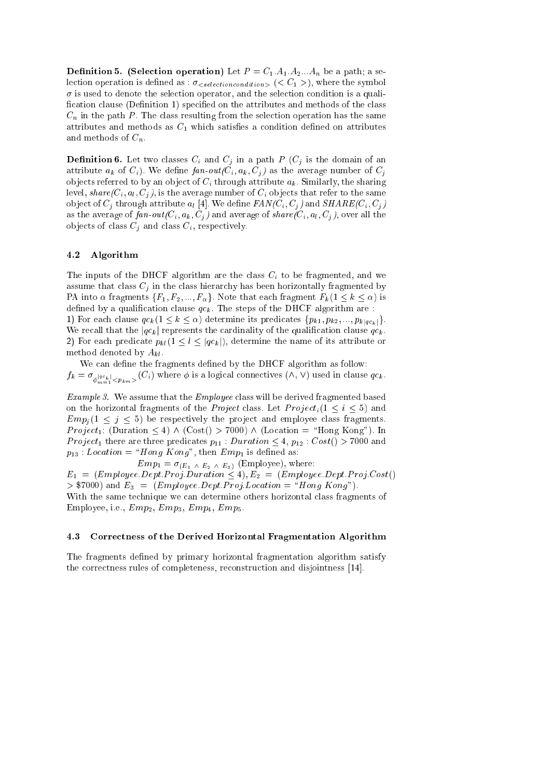**Definition 5.** (Selection operation) Let  $P = C_1.A_1.A_2...A_n$  be a path; a selection operation is defined as :  $\sigma_{\leq selection condition>}$  ( $\lt C_1$ ), where the symbol  $\sigma$  is used to denote the selection operator, and the selection condition is a qualification clause (Definition 1) specified on the attributes and methods of the class  $C_n$  in the path P. The class resulting from the selection operation has the same attributes and methods as  $C_1$  which satisfies a condition defined on attributes and methods of  $C_n$ .

**Definition 6.** Let two classes  $C_i$  and  $C_j$  in a path P  $(C_j$  is the domain of an attribute  $a_k$  of  $C_i$ ). We define  $fan-out(C_i, a_k, C_j)$  as the average number of  $C_j$ objects referred to by an object of  $C_i$  through attribute  $a_k$ . Similarly, the sharing level,  $share(C_i, a_i, C_j)$ , is the average number of  $C_i$  objects that refer to the same object of  $C_i$  through attribute  $a_i$  [4]. We define  $FAN(C_i, C_j)$  and  $SHARE(C_i, C_j)$ as the average of  $fan-out(C_i, a_k, C_j)$  and average of  $share(C_i, a_l, C_j)$ , over all the objects of class  $C_j$  and class  $C_i$ , respectively.

### 4.2 Algorithm

The inputs of the DHCF algorithm are the class  $C_i$  to be fragmented, and we assume that class  $C_i$  in the class hierarchy has been horizontally fragmented by PA into  $\alpha$  fragments  $\{F_1, F_2, ..., F_\alpha\}$ . Note that each fragment  $F_k$   $(1 \leq k \leq \alpha)$  is defined by a qualification clause  $qc_k$ . The steps of the DHCF algorithm are : 1) For each clause  $qc_k (1 \leq k \leq \alpha)$  determine its predicates  $\{p_{k1}, p_{k2}, ..., p_{k|g_{C_k}}\}$ . We recall that the  $|qc_k|$  represents the cardinality of the qualification clause  $qc_k$ . 2) For each predicate  $p_{kl}(1 \leq l \leq |q c_k|)$ , determine the name of its attribute or method denoted by  $A_{kl}$ .

We can define the fragments defined by the DHCF algorithm as follow:  $j^{\kappa}$  =  $\phi_{m=1}^{n_{\kappa}+k}$   $\langle p_{km}\rangle$  (Civ ) where  $j$  is a logicial connectives (i), i) and in connectively

Example 3. We assume that the Employee class will be derived fragmented based on the horizontal fragments of the *Project* class. Let  $Project_i(1 \leq i \leq 5)$  and  $Emp<sub>i</sub>(1 \leq j \leq 5)$  be respectively the project and employee class fragments. Project<sub>1</sub>: (Duration  $\lt 4$ )  $\land$  (Cost()  $> 7000$ )  $\land$  (Location = "Hong Kong"). In *Project*<sub>1</sub> there are three predicates  $p_{11}$ : *Duration*  $\leq 4$ ,  $p_{12}$ : *Cost*() > 7000 and  $p_{13}$ : Location = "Hong Kong", then Emp<sub>1</sub> is defined as:

 $Emp_1 = \sigma_{(E_1 \wedge E_2 \wedge E_3)}$  (Employee), where:  $E_1 = (Employee. Dept. Proj.Duration \leq 4), E_2 = (Employee. Dept. Proj. Cost()$  $> $7000$  and  $E_3 = (Emplogee.Dept. Proj.Location = "Hong Kong").$ With the same technique we can determine others horizontal class fragments of Employee, i.e.,  $Emp_2$ ,  $Emp_3$ ,  $Emp_4$ ,  $Emp_5$ .

### 4.3 Correctness of the Derived Horizontal Fragmentation Algorithm

The fragments defined by primary horizontal fragmentation algorithm satisfy the correctness rules of completeness, reconstruction and disjointness [14].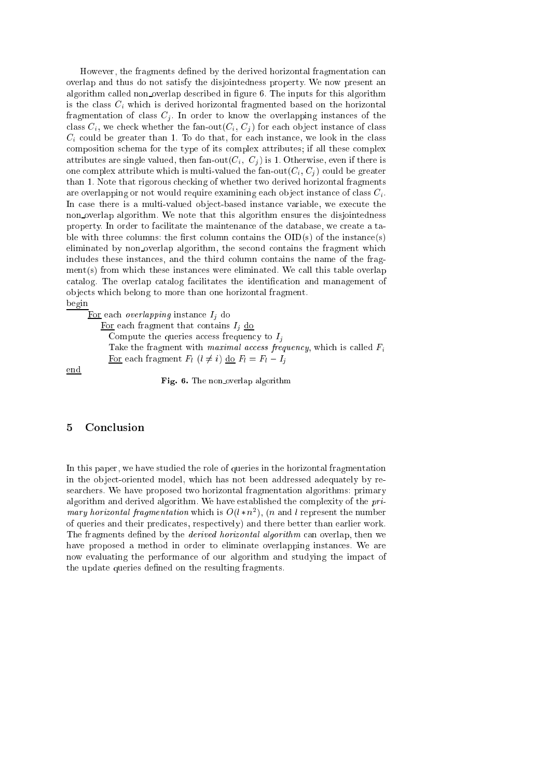However, the fragments defined by the derived horizontal fragmentation can overlap and thus do not satisfy the disjointedness property. We now present an algorithm called non-overlap described in figure 6. The inputs for this algorithm is the class  $C_i$  which is derived horizontal fragmented based on the horizontal fragmentation of class  $C_j$ . In order to know the overlapping instances of the class  $C_i$ , we check whether the fan-out  $(C_i, C_j)$  for each object instance of class  $C_i$  could be greater than 1. To do that, for each instance, we look in the class composition schema for the type of its complex attributes; if all these complex attributes are single valued, then fan-out  $(C_i, C_j)$  is 1. Otherwise, even if there is one complex attribute which is multi-valued the fan-out  $(C_i, C_j)$  could be greater than 1. Note that rigorous checking of whether two derived horizontal fragments are overlapping or not would require examining each object instance of class  $C_i$ . In case there is a multi-valued object-based instance variable, we execute the non overlap algorithm. We note that this algorithm ensures the disjointedness property. In order to facilitate the maintenance of the database, we create a table with three columns: the first column contains the  $OID(s)$  of the instance(s) eliminated by non overlap algorithm, the second contains the fragment which includes these instances, and the third column contains the name of the fragment(s) from which these instances were eliminated. We call this table overlap catalog. The overlap catalog facilitates the identification and management of ob jects which belong to more than one horizontal fragment. begin

<u>For</u> each *overlapping* instance  $I_j$  do

For each fragment that contains  $I_i$  do

Compute the queries access frequency to  $I_i$ 

Take the fragment with *maximal access frequency*, which is called  $F_i$ For each fragment  $F_l$   $(l \neq i)$  do  $F_l = F_l - I_j$ 

end

Fig. 6. The non overlap algorithm

## 5 Conclusion

In this paper, we have studied the role of queries in the horizontal fragmentation in the ob ject-oriented model, which has not been addressed adequately by researchers. We have proposed two horizontal fragmentation algorithms: primary algorithm and derived algorithm. We have established the complexity of the pri- $\it{marg}$  norizontal fragmentation which is  $O(t * n_-)$ , (n and l represent the number of queries and their predicates, respectively) and there better than earlier work. The fragments defined by the *derived horizontal algorithm* can overlap, then we have proposed a method in order to eliminate overlapping instances. We are now evaluating the performance of our algorithm and studying the impact of the update queries defined on the resulting fragments.